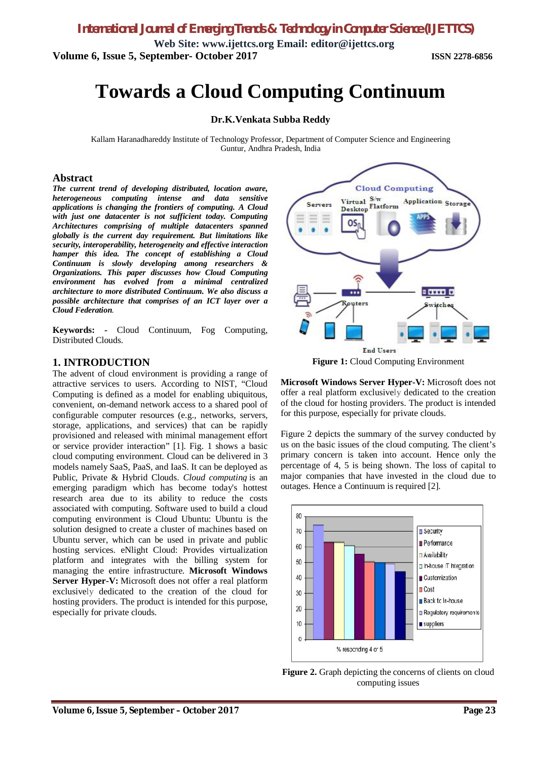**Web Site: www.ijettcs.org Email: editor@ijettcs.org Volume 6, Issue 5, September- October 2017 ISSN 2278-6856**

# **Towards a Cloud Computing Continuum**

#### **Dr.K.Venkata Subba Reddy**

Kallam Haranadhareddy Institute of Technology Professor, Department of Computer Science and Engineering Guntur, Andhra Pradesh, India

#### **Abstract**

*The current trend of developing distributed, location aware, heterogeneous computing intense and data sensitive applications is changing the frontiers of computing. A Cloud with just one datacenter is not sufficient today. Computing Architectures comprising of multiple datacenters spanned globally is the current day requirement. But limitations like security, interoperability, heterogeneity and effective interaction hamper this idea. The concept of establishing a Cloud Continuum is slowly developing among researchers & Organizations. This paper discusses how Cloud Computing environment has evolved from a minimal centralized architecture to more distributed Continuum. We also discuss a possible architecture that comprises of an ICT layer over a Cloud Federation.* 

**Keywords: -** Cloud Continuum, Fog Computing, Distributed Clouds.

#### **1. INTRODUCTION**

The advent of cloud environment is providing a range of attractive services to users. According to NIST, "Cloud Computing is defined as a model for enabling ubiquitous, convenient, on-demand network access to a shared pool of configurable computer resources (e.g., networks, servers, storage, applications, and services) that can be rapidly provisioned and released with minimal management effort or service provider interaction" [1]. Fig. 1 shows a basic cloud computing environment. Cloud can be delivered in 3 models namely SaaS, PaaS, and IaaS. It can be deployed as Public, Private & Hybrid Clouds. *Cloud computing* is an emerging paradigm which has become today's hottest research area due to its ability to reduce the costs associated with computing. Software used to build a cloud computing environment is Cloud Ubuntu: Ubuntu is the solution designed to create a cluster of machines based on Ubuntu server, which can be used in private and public hosting services. eNlight Cloud: Provides virtualization platform and integrates with the billing system for managing the entire infrastructure. **Microsoft Windows Server Hyper-V:** Microsoft does not offer a real platform exclusively dedicated to the creation of the cloud for hosting providers. The product is intended for this purpose, especially for private clouds.



**Figure 1:** Cloud Computing Environment

**Microsoft Windows Server Hyper-V:** Microsoft does not offer a real platform exclusively dedicated to the creation of the cloud for hosting providers. The product is intended for this purpose, especially for private clouds.

Figure 2 depicts the summary of the survey conducted by us on the basic issues of the cloud computing. The client's primary concern is taken into account. Hence only the percentage of 4, 5 is being shown. The loss of capital to major companies that have invested in the cloud due to outages. Hence a Continuum is required [2].



Figure 2. Graph depicting the concerns of clients on cloud computing issues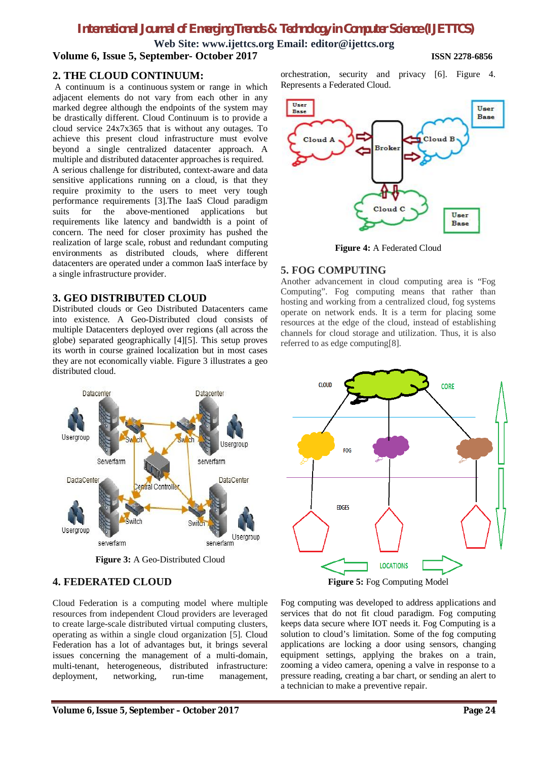**Web Site: www.ijettcs.org Email: editor@ijettcs.org Volume 6, Issue 5, September- October 2017 ISSN 2278-6856**

#### **2. THE CLOUD CONTINUUM:**

A continuum is a continuous system or range in which adjacent elements do not vary from each other in any marked degree although the endpoints of the system may be drastically different. Cloud Continuum is to provide a cloud service 24x7x365 that is without any outages. To achieve this present cloud infrastructure must evolve beyond a single centralized datacenter approach. A multiple and distributed datacenter approaches is required. A serious challenge for distributed, context-aware and data sensitive applications running on a cloud, is that they require proximity to the users to meet very tough performance requirements [3].The IaaS Cloud paradigm suits for the above-mentioned applications but requirements like latency and bandwidth is a point of concern. The need for closer proximity has pushed the realization of large scale, robust and redundant computing environments as distributed clouds, where different datacenters are operated under a common IaaS interface by a single infrastructure provider.

#### **3. GEO DISTRIBUTED CLOUD**

Distributed clouds or Geo Distributed Datacenters came into existence. A Geo-Distributed cloud consists of multiple Datacenters deployed over regions (all across the globe) separated geographically [4][5]. This setup proves its worth in course grained localization but in most cases they are not economically viable. Figure 3 illustrates a geo distributed cloud.



**Figure 3:** A Geo-Distributed Cloud

**4. FEDERATED CLOUD**

# orchestration, security and privacy [6]. Figure 4. Represents a Federated Cloud.



**Figure 4:** A Federated Cloud

#### **5. FOG COMPUTING**

Another advancement in cloud computing area is "Fog Computing". Fog computing means that rather than hosting and working from a centralized cloud, fog systems operate on network ends. It is a term for placing some resources at the edge of the cloud, instead of establishing channels for cloud storage and utilization. Thus, it is also referred to as edge computing[8].



**Figure 5:** Fog Computing Model

#### Cloud Federation is a computing model where multiple resources from independent Cloud providers are leveraged to create large-scale distributed virtual computing clusters, operating as within a single cloud organization [5]. Cloud Federation has a lot of advantages but, it brings several issues concerning the management of a multi-domain, multi-tenant, heterogeneous, distributed infrastructure: deployment, networking, run-time management,

Fog computing was developed to address applications and services that do not fit cloud paradigm. Fog computing keeps data secure where IOT needs it. Fog Computing is a solution to cloud's limitation. Some of the fog computing applications are locking a door using sensors, changing equipment settings, applying the brakes on a train, zooming a video camera, opening a valve in response to a pressure reading, creating a bar chart, or sending an alert to a technician to make a preventive repair.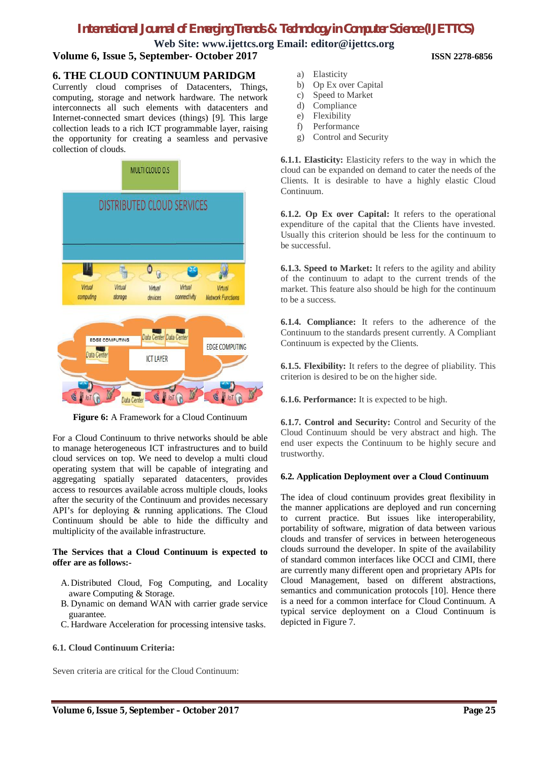**Web Site: www.ijettcs.org Email: editor@ijettcs.org Volume 6, Issue 5, September- October 2017 ISSN 2278-6856**

## **6. THE CLOUD CONTINUUM PARIDGM**

Currently cloud comprises of Datacenters, Things, computing, storage and network hardware. The network interconnects all such elements with datacenters and Internet-connected smart devices (things) [9]. This large collection leads to a rich ICT programmable layer, raising the opportunity for creating a seamless and pervasive collection of clouds.



**Figure 6:** A Framework for a Cloud Continuum

For a Cloud Continuum to thrive networks should be able to manage heterogeneous ICT infrastructures and to build cloud services on top. We need to develop a multi cloud operating system that will be capable of integrating and aggregating spatially separated datacenters, provides access to resources available across multiple clouds, looks after the security of the Continuum and provides necessary API's for deploying & running applications. The Cloud Continuum should be able to hide the difficulty and multiplicity of the available infrastructure.

#### **The Services that a Cloud Continuum is expected to offer are as follows:-**

- A.Distributed Cloud, Fog Computing, and Locality aware Computing & Storage.
- B. Dynamic on demand WAN with carrier grade service guarantee.
- C. Hardware Acceleration for processing intensive tasks.

#### **6.1. Cloud Continuum Criteria:**

Seven criteria are critical for the Cloud Continuum:

- a) Elasticity
- b) Op Ex over Capital
- c) Speed to Market
- d) Compliance
- e) Flexibility
- f) Performance
- g) Control and Security

**6.1.1. Elasticity:** Elasticity refers to the way in which the cloud can be expanded on demand to cater the needs of the Clients. It is desirable to have a highly elastic Cloud Continuum.

**6.1.2. Op Ex over Capital:** It refers to the operational expenditure of the capital that the Clients have invested. Usually this criterion should be less for the continuum to be successful.

**6.1.3. Speed to Market:** It refers to the agility and ability of the continuum to adapt to the current trends of the market. This feature also should be high for the continuum to be a success.

**6.1.4. Compliance:** It refers to the adherence of the Continuum to the standards present currently. A Compliant Continuum is expected by the Clients.

**6.1.5. Flexibility:** It refers to the degree of pliability. This criterion is desired to be on the higher side.

**6.1.6. Performance:** It is expected to be high.

**6.1.7. Control and Security:** Control and Security of the Cloud Continuum should be very abstract and high. The end user expects the Continuum to be highly secure and trustworthy.

#### **6.2. Application Deployment over a Cloud Continuum**

The idea of cloud continuum provides great flexibility in the manner applications are deployed and run concerning to current practice. But issues like interoperability, portability of software, migration of data between various clouds and transfer of services in between heterogeneous clouds surround the developer. In spite of the availability of standard common interfaces like OCCI and CIMI, there are currently many different open and proprietary APIs for Cloud Management, based on different abstractions, semantics and communication protocols [10]. Hence there is a need for a common interface for Cloud Continuum. A typical service deployment on a Cloud Continuum is depicted in Figure 7.